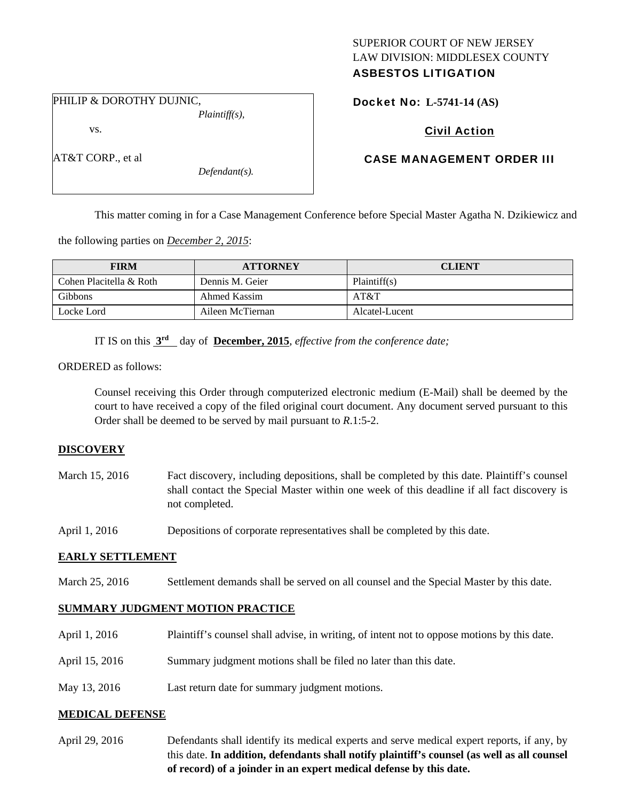# SUPERIOR COURT OF NEW JERSEY LAW DIVISION: MIDDLESEX COUNTY

## ASBESTOS LITIGATION

Docket No: **L-5741-14 (AS)** 

PHILIP & DOROTHY DUJNIC,

vs.

AT&T CORP., et al

*Plaintiff(s),* 

*Defendant(s).* 

## Civil Action

### CASE MANAGEMENT ORDER III

This matter coming in for a Case Management Conference before Special Master Agatha N. Dzikiewicz and

the following parties on *December 2, 2015*:

| <b>FIRM</b>             | <b>ATTORNEY</b>  | <b>CLIENT</b>  |
|-------------------------|------------------|----------------|
| Cohen Placitella & Roth | Dennis M. Geier  | Plaintiff(s)   |
| Gibbons                 | Ahmed Kassim     | AT&T           |
| Locke Lord              | Aileen McTiernan | Alcatel-Lucent |

IT IS on this **3rd** day of **December, 2015**, *effective from the conference date;*

ORDERED as follows:

Counsel receiving this Order through computerized electronic medium (E-Mail) shall be deemed by the court to have received a copy of the filed original court document. Any document served pursuant to this Order shall be deemed to be served by mail pursuant to *R*.1:5-2.

#### **DISCOVERY**

March 15, 2016 Fact discovery, including depositions, shall be completed by this date. Plaintiff's counsel shall contact the Special Master within one week of this deadline if all fact discovery is not completed.

April 1, 2016 Depositions of corporate representatives shall be completed by this date.

#### **EARLY SETTLEMENT**

March 25, 2016 Settlement demands shall be served on all counsel and the Special Master by this date.

#### **SUMMARY JUDGMENT MOTION PRACTICE**

| April 1, 2016  | Plaintiff's counsel shall advise, in writing, of intent not to oppose motions by this date. |
|----------------|---------------------------------------------------------------------------------------------|
| April 15, 2016 | Summary judgment motions shall be filed no later than this date.                            |
| May 13, 2016   | Last return date for summary judgment motions.                                              |

#### **MEDICAL DEFENSE**

April 29, 2016 Defendants shall identify its medical experts and serve medical expert reports, if any, by this date. **In addition, defendants shall notify plaintiff's counsel (as well as all counsel of record) of a joinder in an expert medical defense by this date.**